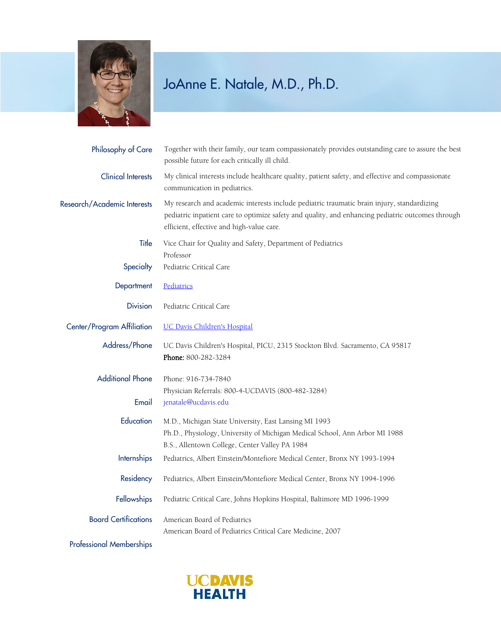

## JoAnne E. Natale, M.D., Ph.D.

| Philosophy of Care              | Together with their family, our team compassionately provides outstanding care to assure the best<br>possible future for each critically ill child.                                                                                          |
|---------------------------------|----------------------------------------------------------------------------------------------------------------------------------------------------------------------------------------------------------------------------------------------|
| <b>Clinical Interests</b>       | My clinical interests include healthcare quality, patient safety, and effective and compassionate<br>communication in pediatrics.                                                                                                            |
| Research/Academic Interests     | My research and academic interests include pediatric traumatic brain injury, standardizing<br>pediatric inpatient care to optimize safety and quality, and enhancing pediatric outcomes through<br>efficient, effective and high-value care. |
| Title                           | Vice Chair for Quality and Safety, Department of Pediatrics<br>Professor                                                                                                                                                                     |
| Specialty                       | Pediatric Critical Care                                                                                                                                                                                                                      |
| Department                      | Pediatrics                                                                                                                                                                                                                                   |
| <b>Division</b>                 | Pediatric Critical Care                                                                                                                                                                                                                      |
| Center/Program Affiliation      | <b>UC Davis Children's Hospital</b>                                                                                                                                                                                                          |
| Address/Phone                   | UC Davis Children's Hospital, PICU, 2315 Stockton Blvd. Sacramento, CA 95817<br>Phone: 800-282-3284                                                                                                                                          |
| <b>Additional Phone</b>         | Phone: 916-734-7840                                                                                                                                                                                                                          |
| Email                           | Physician Referrals: 800-4-UCDAVIS (800-482-3284)<br>jenatale@ucdavis.edu                                                                                                                                                                    |
| Education                       | M.D., Michigan State University, East Lansing MI 1993<br>Ph.D., Physiology, University of Michigan Medical School, Ann Arbor MI 1988<br>B.S., Allentown College, Center Valley PA 1984                                                       |
| <b>Internships</b>              | Pediatrics, Albert Einstein/Montefiore Medical Center, Bronx NY 1993-1994                                                                                                                                                                    |
| Residency                       | Pediatrics, Albert Einstein/Montefiore Medical Center, Bronx NY 1994-1996                                                                                                                                                                    |
| Fellowships                     | Pediatric Critical Care, Johns Hopkins Hospital, Baltimore MD 1996-1999                                                                                                                                                                      |
| <b>Board Certifications</b>     | American Board of Pediatrics<br>American Board of Pediatrics Critical Care Medicine, 2007                                                                                                                                                    |
| <b>Professional Memberships</b> |                                                                                                                                                                                                                                              |

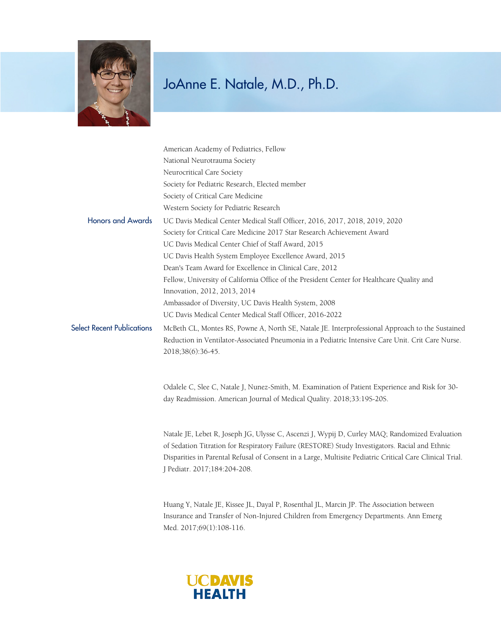

## JoAnne E. Natale, M.D., Ph.D.

|                                   | American Academy of Pediatrics, Fellow                                                            |
|-----------------------------------|---------------------------------------------------------------------------------------------------|
|                                   | National Neurotrauma Society                                                                      |
|                                   | Neurocritical Care Society                                                                        |
|                                   | Society for Pediatric Research, Elected member                                                    |
|                                   | Society of Critical Care Medicine                                                                 |
|                                   | Western Society for Pediatric Research                                                            |
| <b>Honors and Awards</b>          | UC Davis Medical Center Medical Staff Officer, 2016, 2017, 2018, 2019, 2020                       |
|                                   | Society for Critical Care Medicine 2017 Star Research Achievement Award                           |
|                                   | UC Davis Medical Center Chief of Staff Award, 2015                                                |
|                                   | UC Davis Health System Employee Excellence Award, 2015                                            |
|                                   | Dean's Team Award for Excellence in Clinical Care, 2012                                           |
|                                   | Fellow, University of California Office of the President Center for Healthcare Quality and        |
|                                   | Innovation, 2012, 2013, 2014                                                                      |
|                                   | Ambassador of Diversity, UC Davis Health System, 2008                                             |
|                                   | UC Davis Medical Center Medical Staff Officer, 2016-2022                                          |
| <b>Select Recent Publications</b> | McBeth CL, Montes RS, Powne A, North SE, Natale JE. Interprofessional Approach to the Sustained   |
|                                   | Reduction in Ventilator-Associated Pneumonia in a Pediatric Intensive Care Unit. Crit Care Nurse. |
|                                   | 2018;38(6):36-45.                                                                                 |
|                                   | Odalele C, Slee C, Natale J, Nunez-Smith, M. Examination of Patient Experience and Risk for 30-   |
|                                   | day Readmission. American Journal of Medical Quality. 2018;33:19S-20S.                            |

Natale JE, Lebet R, Joseph JG, Ulysse C, Ascenzi J, Wypij D, Curley MAQ; Randomized Evaluation of Sedation Titration for Respiratory Failure (RESTORE) Study Investigators. Racial and Ethnic Disparities in Parental Refusal of Consent in a Large, Multisite Pediatric Critical Care Clinical Trial. J Pediatr. 2017;184:204-208.

Huang Y, Natale JE, Kissee JL, Dayal P, Rosenthal JL, Marcin JP. The Association between Insurance and Transfer of Non-Injured Children from Emergency Departments. Ann Emerg Med. 2017;69(1):108-116.